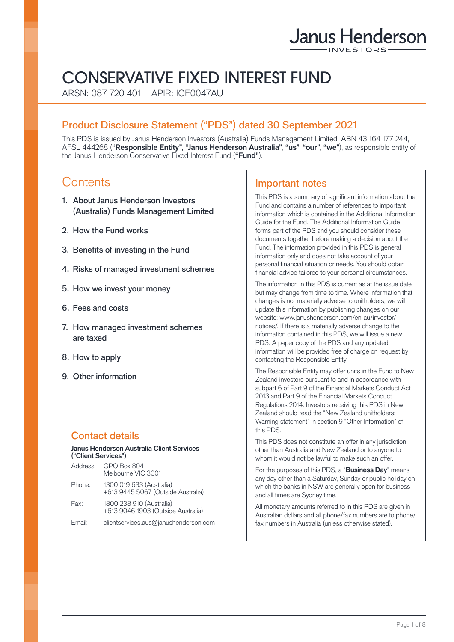# Janus Henderson

# CONSERVATIVE FIXED INTEREST FUND

ARSN: 087 720 401 APIR: IOF0047AU

# Product Disclosure Statement ("PDS") dated 30 September 2021

This PDS is issued by Janus Henderson Investors (Australia) Funds Management Limited, ABN 43 164 177 244, AFSL 444268 (**"Responsible Entity"**, **"Janus Henderson Australia"**, **"us"**, **"our"**, **"we"**), as responsible entity of the Janus Henderson Conservative Fixed Interest Fund (**"Fund"**).

# **Contents**

- 1. About Janus Henderson Investors (Australia) Funds Management Limited
- 2. How the Fund works
- 3. Benefits of investing in the Fund
- 4. Risks of managed investment schemes
- 5. How we invest your money
- 6. Fees and costs
- 7. How managed investment schemes are taxed
- 8. How to apply
- 9. Other information

# Contact details

#### **Janus Henderson Australia Client Services ("Client Services"**)

| Address: | GPO Box 804<br>Melbourne VIC 3001                              |
|----------|----------------------------------------------------------------|
| Phone:   | 1300 019 633 (Australia)<br>+613 9445 5067 (Outside Australia) |
| Fax:     | 1800 238 910 (Australia)<br>+613 9046 1903 (Outside Australia) |
| Email:   | clientservices.aus@janushenderson.com                          |

# Important notes

This PDS is a summary of significant information about the Fund and contains a number of references to important information which is contained in the Additional Information Guide for the Fund. The Additional Information Guide forms part of the PDS and you should consider these documents together before making a decision about the Fund. The information provided in this PDS is general information only and does not take account of your personal financial situation or needs. You should obtain financial advice tailored to your personal circumstances.

The information in this PDS is current as at the issue date but may change from time to time. Where information that changes is not materially adverse to unitholders, we will update this information by publishing changes on our website: [www.janushenderson.com/en-au/investor/](http://www.janushenderson.com/en-au/investor/notices/) [notices/](http://www.janushenderson.com/en-au/investor/notices/). If there is a materially adverse change to the information contained in this PDS, we will issue a new PDS. A paper copy of the PDS and any updated information will be provided free of charge on request by contacting the Responsible Entity.

The Responsible Entity may offer units in the Fund to New Zealand investors pursuant to and in accordance with subpart 6 of Part 9 of the Financial Markets Conduct Act 2013 and Part 9 of the Financial Markets Conduct Regulations 2014. Investors receiving this PDS in New Zealand should read the "New Zealand unitholders: Warning statement" in section 9 "Other Information" of this PDS.

This PDS does not constitute an offer in any jurisdiction other than Australia and New Zealand or to anyone to whom it would not be lawful to make such an offer.

For the purposes of this PDS, a "**Business Day**" means any day other than a Saturday, Sunday or public holiday on which the banks in NSW are generally open for business and all times are Sydney time.

All monetary amounts referred to in this PDS are given in Australian dollars and all phone/fax numbers are to phone/ fax numbers in Australia (unless otherwise stated).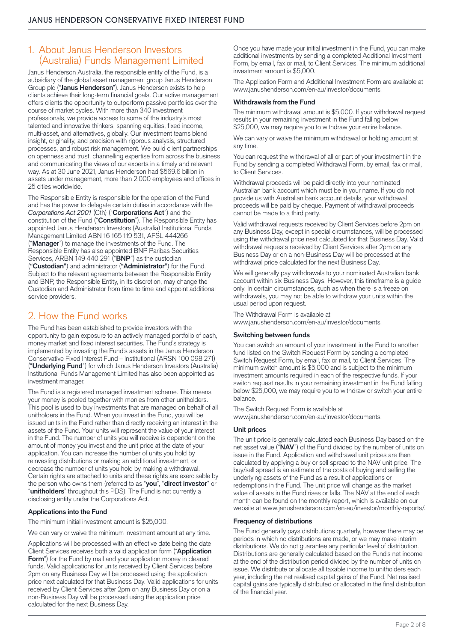# 1. About Janus Henderson Investors (Australia) Funds Management Limited

Janus Henderson Australia, the responsible entity of the Fund, is a subsidiary of the global asset management group Janus Henderson Group plc ("**Janus Henderson**"). Janus Henderson exists to help clients achieve their long-term financial goals. Our active management offers clients the opportunity to outperform passive portfolios over the course of market cycles. With more than 340 investment professionals, we provide access to some of the industry's most talented and innovative thinkers, spanning equities, fixed income, multi-asset, and alternatives, globally. Our investment teams blend insight, originality, and precision with rigorous analysis, structured processes, and robust risk management. We build client partnerships on openness and trust, channelling expertise from across the business and communicating the views of our experts in a timely and relevant way. As at 30 June 2021, Janus Henderson had \$569.6 billion in assets under management, more than 2,000 employees and offices in 25 cities worldwide.

The Responsible Entity is responsible for the operation of the Fund and has the power to delegate certain duties in accordance with the *Corporations Act 2001* (Cth) ("**Corporations Act**") and the constitution of the Fund ("**Constitution**"). The Responsible Entity has appointed Janus Henderson Investors (Australia) Institutional Funds Management Limited ABN 16 165 119 531, AFSL 444266 ("**Manager**") to manage the investments of the Fund. The Responsible Entity has also appointed BNP Paribas Securities Services, ARBN 149 440 291 ("**BNP**") as the custodian (**"Custodian"**) and administrator (**"Administrator"**) for the Fund. Subject to the relevant agreements between the Responsible Entity and BNP, the Responsible Entity, in its discretion, may change the Custodian and Administrator from time to time and appoint additional service providers.

# 2. How the Fund works

The Fund has been established to provide investors with the opportunity to gain exposure to an actively managed portfolio of cash, money market and fixed interest securities. The Fund's strategy is implemented by investing the Fund's assets in the Janus Henderson Conservative Fixed Interest Fund – Institutional (ARSN 100 098 271) ("**Underlying Fund**") for which Janus Henderson Investors (Australia) Institutional Funds Management Limited has also been appointed as investment manager.

The Fund is a registered managed investment scheme. This means your money is pooled together with monies from other unitholders. This pool is used to buy investments that are managed on behalf of all unitholders in the Fund. When you invest in the Fund, you will be issued units in the Fund rather than directly receiving an interest in the assets of the Fund. Your units will represent the value of your interest in the Fund. The number of units you will receive is dependent on the amount of money you invest and the unit price at the date of your application. You can increase the number of units you hold by reinvesting distributions or making an additional investment, or decrease the number of units you hold by making a withdrawal. Certain rights are attached to units and these rights are exercisable by the person who owns them (referred to as "**you**", "**direct investor**" or "**unitholders**" throughout this PDS). The Fund is not currently a disclosing entity under the Corporations Act.

#### **Applications into the Fund**

The minimum initial investment amount is \$25,000.

We can vary or waive the minimum investment amount at any time.

Applications will be processed with an effective date being the date Client Services receives both a valid application form ("**Application Form**") for the Fund by mail and your application money in cleared funds. Valid applications for units received by Client Services before 2pm on any Business Day will be processed using the application price next calculated for that Business Day. Valid applications for units received by Client Services after 2pm on any Business Day or on a non-Business Day will be processed using the application price calculated for the next Business Day.

Once you have made your initial investment in the Fund, you can make additional investments by sending a completed Additional Investment Form, by email, fax or mail, to Client Services. The minimum additional investment amount is \$5,000.

The Application Form and Additional Investment Form are available at [www.janushenderson.com/en-au/investor/documents.](http://www.janushenderson.com/en-au/investor/documents)

#### **Withdrawals from the Fund**

The minimum withdrawal amount is \$5,000. If your withdrawal request results in your remaining investment in the Fund falling below \$25,000, we may require you to withdraw your entire balance.

We can vary or waive the minimum withdrawal or holding amount at any time.

You can request the withdrawal of all or part of your investment in the Fund by sending a completed Withdrawal Form, by email, fax or mail, to Client Services.

Withdrawal proceeds will be paid directly into your nominated Australian bank account which must be in your name. If you do not provide us with Australian bank account details, your withdrawal proceeds will be paid by cheque. Payment of withdrawal proceeds cannot be made to a third party.

Valid withdrawal requests received by Client Services before 2pm on any Business Day, except in special circumstances, will be processed using the withdrawal price next calculated for that Business Day. Valid withdrawal requests received by Client Services after 2pm on any Business Day or on a non-Business Day will be processed at the withdrawal price calculated for the next Business Day.

We will generally pay withdrawals to your nominated Australian bank account within six Business Days. However, this timeframe is a guide only. In certain circumstances, such as when there is a freeze on withdrawals, you may not be able to withdraw your units within the usual period upon request.

The Withdrawal Form is available at [www.janushenderson.com/en-au/investor/documents.](http://www.janushenderson.com/en-au/investor/documents)

#### **Switching between funds**

You can switch an amount of your investment in the Fund to another fund listed on the Switch Request Form by sending a completed Switch Request Form, by email, fax or mail, to Client Services. The minimum switch amount is \$5,000 and is subject to the minimum investment amounts required in each of the respective funds. If your switch request results in your remaining investment in the Fund falling below \$25,000, we may require you to withdraw or switch your entire balance.

The Switch Request Form is available at [www.janushenderson.com/en-au/investor/documents.](http://www.janushenderson.com/en-au/investor/documents)

#### **Unit prices**

The unit price is generally calculated each Business Day based on the net asset value ("**NAV**") of the Fund divided by the number of units on issue in the Fund. Application and withdrawal unit prices are then calculated by applying a buy or sell spread to the NAV unit price. The buy/sell spread is an estimate of the costs of buying and selling the underlying assets of the Fund as a result of applications or redemptions in the Fund. The unit price will change as the market value of assets in the Fund rises or falls. The NAV at the end of each month can be found on the monthly report, which is available on our website at [www.janushenderson.com/en-au/investor/monthly-reports/](http://www.janushenderson.com/en-au/investor/monthly-reports/).

#### **Frequency of distributions**

The Fund generally pays distributions quarterly, however there may be periods in which no distributions are made, or we may make interim distributions. We do not guarantee any particular level of distribution. Distributions are generally calculated based on the Fund's net income at the end of the distribution period divided by the number of units on issue. We distribute or allocate all taxable income to unitholders each year, including the net realised capital gains of the Fund. Net realised capital gains are typically distributed or allocated in the final distribution of the financial year.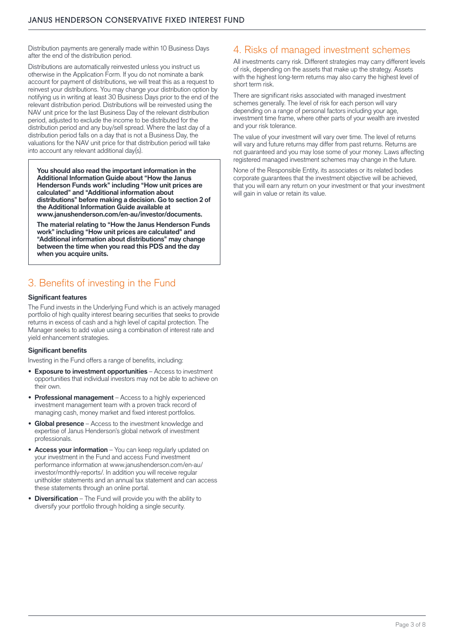Distribution payments are generally made within 10 Business Days after the end of the distribution period.

Distributions are automatically reinvested unless you instruct us otherwise in the Application Form. If you do not nominate a bank account for payment of distributions, we will treat this as a request to reinvest your distributions. You may change your distribution option by notifying us in writing at least 30 Business Days prior to the end of the relevant distribution period. Distributions will be reinvested using the NAV unit price for the last Business Day of the relevant distribution period, adjusted to exclude the income to be distributed for the distribution period and any buy/sell spread. Where the last day of a distribution period falls on a day that is not a Business Day, the valuations for the NAV unit price for that distribution period will take into account any relevant additional day(s).

**You should also read the important information in the Additional Information Guide about "How the Janus Henderson Funds work" including "How unit prices are calculated" and "Additional information about distributions" before making a decision. Go to section 2 of the Additional Information Guide available at [www.janushenderson.com/en-au/investor/documents](http://www.janushenderson.com/en-au/investor/documents).**

**The material relating to "How the Janus Henderson Funds work" including "How unit prices are calculated" and "Additional information about distributions" may change between the time when you read this PDS and the day when you acquire units.** 

# 3. Benefits of investing in the Fund

#### **Significant features**

The Fund invests in the Underlying Fund which is an actively managed portfolio of high quality interest bearing securities that seeks to provide returns in excess of cash and a high level of capital protection. The Manager seeks to add value using a combination of interest rate and yield enhancement strategies.

#### **Significant benefits**

Investing in the Fund offers a range of benefits, including:

- **• Exposure to investment opportunities** Access to investment opportunities that individual investors may not be able to achieve on their own.
- **• Professional management** Access to a highly experienced investment management team with a proven track record of managing cash, money market and fixed interest portfolios.
- **• Global presence** Access to the investment knowledge and expertise of Janus Henderson's global network of investment professionals.
- **• Access your information** You can keep regularly updated on your investment in the Fund and access Fund investment performance information at [www.janushenderson.com/en-au/](http://www.janushenderson.com/en-au/investor/monthly-reports/) [investor/monthly-reports/.](http://www.janushenderson.com/en-au/investor/monthly-reports/) In addition you will receive regular unitholder statements and an annual tax statement and can access these statements through an online portal.
- **• Diversification** The Fund will provide you with the ability to diversify your portfolio through holding a single security.

# 4. Risks of managed investment schemes

All investments carry risk. Different strategies may carry different levels of risk, depending on the assets that make up the strategy. Assets with the highest long-term returns may also carry the highest level of short term risk.

There are significant risks associated with managed investment schemes generally. The level of risk for each person will vary depending on a range of personal factors including your age, investment time frame, where other parts of your wealth are invested and your risk tolerance.

The value of your investment will vary over time. The level of returns will vary and future returns may differ from past returns. Returns are not guaranteed and you may lose some of your money. Laws affecting registered managed investment schemes may change in the future.

None of the Responsible Entity, its associates or its related bodies corporate guarantees that the investment objective will be achieved, that you will earn any return on your investment or that your investment will gain in value or retain its value.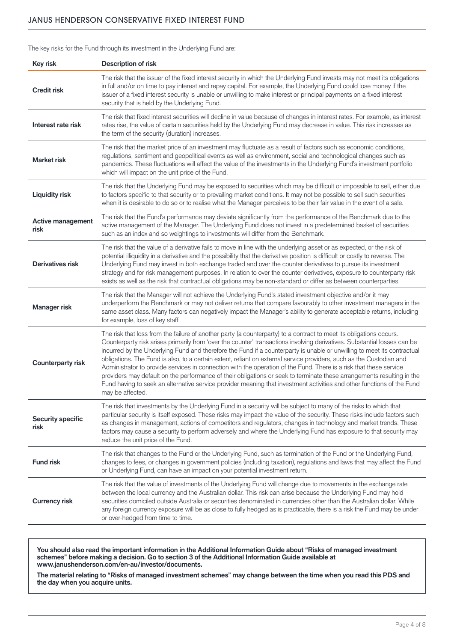#### JANUS HENDERSON CONSERVATIVE FIXED INTEREST FUND

The key risks for the Fund through its investment in the Underlying Fund are:

| Key risk                         | <b>Description of risk</b>                                                                                                                                                                                                                                                                                                                                                                                                                                                                                                                                                                                                                                                                                                                                                                                                                                                                       |  |  |
|----------------------------------|--------------------------------------------------------------------------------------------------------------------------------------------------------------------------------------------------------------------------------------------------------------------------------------------------------------------------------------------------------------------------------------------------------------------------------------------------------------------------------------------------------------------------------------------------------------------------------------------------------------------------------------------------------------------------------------------------------------------------------------------------------------------------------------------------------------------------------------------------------------------------------------------------|--|--|
| <b>Credit risk</b>               | The risk that the issuer of the fixed interest security in which the Underlying Fund invests may not meet its obligations<br>in full and/or on time to pay interest and repay capital. For example, the Underlying Fund could lose money if the<br>issuer of a fixed interest security is unable or unwilling to make interest or principal payments on a fixed interest<br>security that is held by the Underlying Fund.                                                                                                                                                                                                                                                                                                                                                                                                                                                                        |  |  |
| Interest rate risk               | The risk that fixed interest securities will decline in value because of changes in interest rates. For example, as interest<br>rates rise, the value of certain securities held by the Underlying Fund may decrease in value. This risk increases as<br>the term of the security (duration) increases.                                                                                                                                                                                                                                                                                                                                                                                                                                                                                                                                                                                          |  |  |
| <b>Market risk</b>               | The risk that the market price of an investment may fluctuate as a result of factors such as economic conditions,<br>regulations, sentiment and geopolitical events as well as environment, social and technological changes such as<br>pandemics. These fluctuations will affect the value of the investments in the Underlying Fund's investment portfolio<br>which will impact on the unit price of the Fund.                                                                                                                                                                                                                                                                                                                                                                                                                                                                                 |  |  |
| <b>Liquidity risk</b>            | The risk that the Underlying Fund may be exposed to securities which may be difficult or impossible to sell, either due<br>to factors specific to that security or to prevailing market conditions. It may not be possible to sell such securities<br>when it is desirable to do so or to realise what the Manager perceives to be their fair value in the event of a sale.                                                                                                                                                                                                                                                                                                                                                                                                                                                                                                                      |  |  |
| <b>Active management</b><br>risk | The risk that the Fund's performance may deviate significantly from the performance of the Benchmark due to the<br>active management of the Manager. The Underlying Fund does not invest in a predetermined basket of securities<br>such as an index and so weightings to investments will differ from the Benchmark.                                                                                                                                                                                                                                                                                                                                                                                                                                                                                                                                                                            |  |  |
| <b>Derivatives risk</b>          | The risk that the value of a derivative fails to move in line with the underlying asset or as expected, or the risk of<br>potential illiquidity in a derivative and the possibility that the derivative position is difficult or costly to reverse. The<br>Underlying Fund may invest in both exchange traded and over the counter derivatives to pursue its investment<br>strategy and for risk management purposes. In relation to over the counter derivatives, exposure to counterparty risk<br>exists as well as the risk that contractual obligations may be non-standard or differ as between counterparties.                                                                                                                                                                                                                                                                             |  |  |
| Manager risk                     | The risk that the Manager will not achieve the Underlying Fund's stated investment objective and/or it may<br>underperform the Benchmark or may not deliver returns that compare favourably to other investment managers in the<br>same asset class. Many factors can negatively impact the Manager's ability to generate acceptable returns, including<br>for example, loss of key staff.                                                                                                                                                                                                                                                                                                                                                                                                                                                                                                       |  |  |
| <b>Counterparty risk</b>         | The risk that loss from the failure of another party (a counterparty) to a contract to meet its obligations occurs.<br>Counterparty risk arises primarily from 'over the counter' transactions involving derivatives. Substantial losses can be<br>incurred by the Underlying Fund and therefore the Fund if a counterparty is unable or unwilling to meet its contractual<br>obligations. The Fund is also, to a certain extent, reliant on external service providers, such as the Custodian and<br>Administrator to provide services in connection with the operation of the Fund. There is a risk that these service<br>providers may default on the performance of their obligations or seek to terminate these arrangements resulting in the<br>Fund having to seek an alternative service provider meaning that investment activities and other functions of the Fund<br>may be affected. |  |  |
| <b>Security specific</b><br>risk | The risk that investments by the Underlying Fund in a security will be subject to many of the risks to which that<br>particular security is itself exposed. These risks may impact the value of the security. These risks include factors such<br>as changes in management, actions of competitors and regulators, changes in technology and market trends. These<br>factors may cause a security to perform adversely and where the Underlying Fund has exposure to that security may<br>reduce the unit price of the Fund.                                                                                                                                                                                                                                                                                                                                                                     |  |  |
| <b>Fund risk</b>                 | The risk that changes to the Fund or the Underlying Fund, such as termination of the Fund or the Underlying Fund,<br>changes to fees, or changes in government policies (including taxation), regulations and laws that may affect the Fund<br>or Underlying Fund, can have an impact on your potential investment return.                                                                                                                                                                                                                                                                                                                                                                                                                                                                                                                                                                       |  |  |
| <b>Currency risk</b>             | The risk that the value of investments of the Underlying Fund will change due to movements in the exchange rate<br>between the local currency and the Australian dollar. This risk can arise because the Underlying Fund may hold<br>securities domiciled outside Australia or securities denominated in currencies other than the Australian dollar. While<br>any foreign currency exposure will be as close to fully hedged as is practicable, there is a risk the Fund may be under<br>or over-hedged from time to time.                                                                                                                                                                                                                                                                                                                                                                      |  |  |

**You should also read the important information in the Additional Information Guide about "Risks of managed investment schemes" before making a decision. Go to section 3 of the Additional Information Guide available at [www.janushenderson.com/en-au/investor/documents](http://www.janushenderson.com/en-au/investor/documents).**

**The material relating to "Risks of managed investment schemes" may change between the time when you read this PDS and the day when you acquire units.**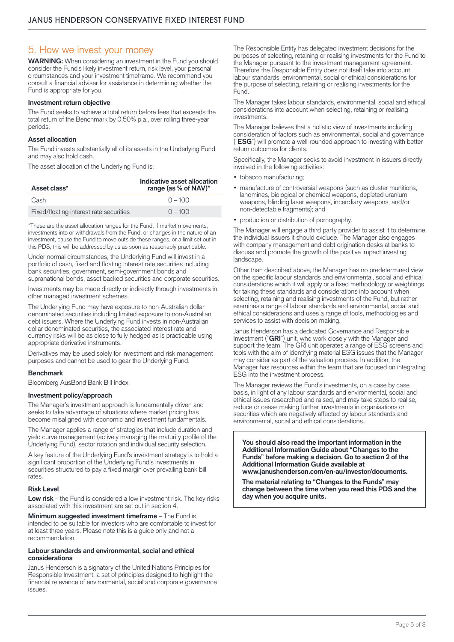### 5. How we invest your money

**WARNING:** When considering an investment in the Fund you should consider the Fund's likely investment return, risk level, your personal circumstances and your investment timeframe. We recommend you consult a financial adviser for assistance in determining whether the Fund is appropriate for you.

#### **Investment return objective**

The Fund seeks to achieve a total return before fees that exceeds the total return of the Benchmark by 0.50% p.a., over rolling three-year periods.

#### **Asset allocation**

The Fund invests substantially all of its assets in the Underlying Fund and may also hold cash.

The asset allocation of the Underlying Fund is:

| Asset class*                            | Indicative asset allocation<br>range (as % of NAV)* |
|-----------------------------------------|-----------------------------------------------------|
| Cash                                    | $0 - 100$                                           |
| Fixed/floating interest rate securities | $0 - 100$                                           |

\*These are the asset allocation ranges for the Fund. If market movements, investments into or withdrawals from the Fund, or changes in the nature of an investment, cause the Fund to move outside these ranges, or a limit set out in this PDS, this will be addressed by us as soon as reasonably practicable.

Under normal circumstances, the Underlying Fund will invest in a portfolio of cash, fixed and floating interest rate securities including bank securities, government, semi-government bonds and supranational bonds, asset backed securities and corporate securities.

Investments may be made directly or indirectly through investments in other managed investment schemes.

The Underlying Fund may have exposure to non-Australian dollar denominated securities including limited exposure to non-Australian debt issuers. Where the Underlying Fund invests in non-Australian dollar denominated securities, the associated interest rate and currency risks will be as close to fully hedged as is practicable using appropriate derivative instruments.

Derivatives may be used solely for investment and risk management purposes and cannot be used to gear the Underlying Fund.

#### **Benchmark**

Bloomberg AusBond Bank Bill Index

#### **Investment policy/approach**

The Manager's investment approach is fundamentally driven and seeks to take advantage of situations where market pricing has become misaligned with economic and investment fundamentals.

The Manager applies a range of strategies that include duration and yield curve management (actively managing the maturity profile of the Underlying Fund), sector rotation and individual security selection.

A key feature of the Underlying Fund's investment strategy is to hold a significant proportion of the Underlying Fund's investments in securities structured to pay a fixed margin over prevailing bank bill rates.

#### **Risk Level**

**Low risk** – the Fund is considered a low investment risk. The key risks associated with this investment are set out in section 4.

**Minimum suggested investment timeframe** – The Fund is intended to be suitable for investors who are comfortable to invest for at least three years. Please note this is a guide only and not a recommendation.

#### **Labour standards and environmental, social and ethical considerations**

Janus Henderson is a signatory of the United Nations Principles for Responsible Investment, a set of principles designed to highlight the financial relevance of environmental, social and corporate governance issues.

The Responsible Entity has delegated investment decisions for the purposes of selecting, retaining or realising investments for the Fund to the Manager pursuant to the investment management agreement. Therefore the Responsible Entity does not itself take into account labour standards, environmental, social or ethical considerations for the purpose of selecting, retaining or realising investments for the Fund.

The Manager takes labour standards, environmental, social and ethical considerations into account when selecting, retaining or realising investments.

The Manager believes that a holistic view of investments including consideration of factors such as environmental, social and governance ("**ESG**") will promote a well-rounded approach to investing with better return outcomes for clients.

Specifically, the Manager seeks to avoid investment in issuers directly involved in the following activities:

- tobacco manufacturing;
- manufacture of controversial weapons (such as cluster munitions, landmines, biological or chemical weapons, depleted uranium weapons, blinding laser weapons, incendiary weapons, and/or non-detectable fragments); and
- production or distribution of pornography.

The Manager will engage a third party provider to assist it to determine the individual issuers it should exclude. The Manager also engages with company management and debt origination desks at banks to discuss and promote the growth of the positive impact investing landscape.

Other than described above, the Manager has no predetermined view on the specific labour standards and environmental, social and ethical considerations which it will apply or a fixed methodology or weightings for taking these standards and considerations into account when selecting, retaining and realising investments of the Fund, but rather examines a range of labour standards and environmental, social and ethical considerations and uses a range of tools, methodologies and services to assist with decision making.

Janus Henderson has a dedicated Governance and Responsible Investment ("**GRI**") unit, who work closely with the Manager and support the team. The GRI unit operates a range of ESG screens and tools with the aim of identifying material ESG issues that the Manager may consider as part of the valuation process. In addition, the Manager has resources within the team that are focused on integrating ESG into the investment process.

The Manager reviews the Fund's investments, on a case by case basis, in light of any labour standards and environmental, social and ethical issues researched and raised, and may take steps to realise, reduce or cease making further investments in organisations or securities which are negatively affected by labour standards and environmental, social and ethical considerations.

**You should also read the important information in the Additional Information Guide about "Changes to the Funds" before making a decision. Go to section 2 of the Additional Information Guide available at [www.janushenderson.com/en-au/investor/documents](http://www.janushenderson.com/en-au/investor/documents/).**

**The material relating to "Changes to the Funds" may change between the time when you read this PDS and the day when you acquire units.**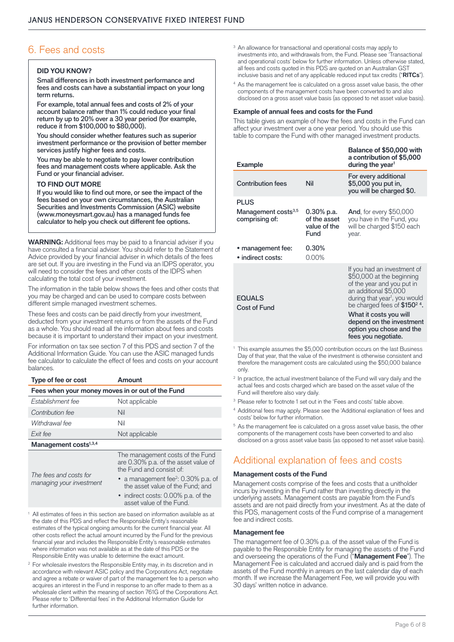# 6. Fees and costs

#### **DID YOU KNOW?**

Small differences in both investment performance and fees and costs can have a substantial impact on your long term returns.

For example, total annual fees and costs of 2% of your account balance rather than 1% could reduce your final return by up to 20% over a 30 year period (for example, reduce it from \$100,000 to \$80,000).

You should consider whether features such as superior investment performance or the provision of better member services justify higher fees and costs.

You may be able to negotiate to pay lower contribution fees and management costs where applicable. Ask the Fund or your financial adviser.

#### **TO FIND OUT MORE**

If you would like to find out more, or see the impact of the fees based on your own circumstances, the Australian Securities and Investments Commission (ASIC) website [\(www.moneysmart.gov.au](http://www.moneysmart.gov.au)) has a managed funds fee calculator to help you check out different fee options.

**WARNING:** Additional fees may be paid to a financial adviser if you have consulted a financial adviser. You should refer to the Statement of Advice provided by your financial adviser in which details of the fees are set out. If you are investing in the Fund via an IDPS operator, you will need to consider the fees and other costs of the IDPS when calculating the total cost of your investment.

The information in the table below shows the fees and other costs that you may be charged and can be used to compare costs between different simple managed investment schemes.

These fees and costs can be paid directly from your investment, deducted from your investment returns or from the assets of the Fund as a whole. You should read all the information about fees and costs because it is important to understand their impact on your investment.

For information on tax see section 7 of this PDS and section 7 of the Additional Information Guide. You can use the ASIC managed funds fee calculator to calculate the effect of fees and costs on your account balances.

| Type of fee or cost                              | Amount                                                                                               |  |  |  |  |
|--------------------------------------------------|------------------------------------------------------------------------------------------------------|--|--|--|--|
| Fees when your money moves in or out of the Fund |                                                                                                      |  |  |  |  |
| Establishment fee                                | Not applicable                                                                                       |  |  |  |  |
| Contribution fee                                 | Nil                                                                                                  |  |  |  |  |
| Withdrawal fee                                   | Nil                                                                                                  |  |  |  |  |
| Exit fee                                         | Not applicable                                                                                       |  |  |  |  |
| Management costs <sup>1,3,4</sup>                |                                                                                                      |  |  |  |  |
| — <i>( ( )</i>                                   | The management costs of the Fund<br>are 0.30% p.a. of the asset value of<br>the Fund and consist of: |  |  |  |  |

*The fees and costs for managing your investment*

- a management fee<sup>2</sup>: 0.30% p.a. of the asset value of the Fund; and
- indirect costs: 0.00% p.a. of the asset value of the Fund.
- All estimates of fees in this section are based on information available as at the date of this PDS and reflect the Responsible Entity's reasonable estimates of the typical ongoing amounts for the current financial year. All other costs reflect the actual amount incurred by the Fund for the previous financial year and includes the Responsible Entity's reasonable estimates where information was not available as at the date of this PDS or the Responsible Entity was unable to determine the exact amount.
- <sup>2</sup> For wholesale investors the Responsible Entity may, in its discretion and in accordance with relevant ASIC policy and the Corporations Act, negotiate and agree a rebate or waiver of part of the management fee to a person who acquires an interest in the Fund in response to an offer made to them as a wholesale client within the meaning of section 761G of the Corporations Act. Please refer to 'Differential fees' in the Additional Information Guide for further information.
- <sup>3</sup> An allowance for transactional and operational costs may apply to investments into, and withdrawals from, the Fund. Please see 'Transactional and operational costs' below for further information. Unless otherwise stated, all fees and costs quoted in this PDS are quoted on an Australian GST inclusive basis and net of any applicable reduced input tax credits ("**RITCs**").
- <sup>4</sup> As the management fee is calculated on a gross asset value basis, the other components of the management costs have been converted to and also disclosed on a gross asset value basis (as opposed to net asset value basis).

#### **Example of annual fees and costs for the Fund**

This table gives an example of how the fees and costs in the Fund can affect your investment over a one year period. You should use this table to compare the Fund with other managed investment products.

| <b>Example</b>                                 |                                      | Balance of \$50,000 with<br>a contribution of \$5,000<br>during the year <sup>1</sup>                                                                                                                     |
|------------------------------------------------|--------------------------------------|-----------------------------------------------------------------------------------------------------------------------------------------------------------------------------------------------------------|
| <b>Contribution fees</b>                       | Nil                                  | For every additional<br>\$5,000 you put in,<br>you will be charged \$0.                                                                                                                                   |
| <b>PLUS</b><br>Management costs <sup>3,5</sup> | 0.30% p.a.                           | <b>And, for every \$50,000</b>                                                                                                                                                                            |
| comprising of:                                 | of the asset<br>value of the<br>Fund | you have in the Fund, you<br>will be charged \$150 each<br>year.                                                                                                                                          |
| • management fee:<br>• indirect costs:         | 0.30%<br>$0.00\%$                    |                                                                                                                                                                                                           |
| <b>EQUALS</b><br>Cost of Fund                  |                                      | If you had an investment of<br>\$50,000 at the beginning<br>of the year and you put in<br>an additional \$5,000<br>during that year <sup>1</sup> , you would<br>be charged fees of $$1502$ <sup>4</sup> . |
|                                                |                                      | What it costs you will<br>depend on the investment<br>option you chose and the<br>fees you negotiate.                                                                                                     |

- <sup>1</sup> This example assumes the \$5,000 contribution occurs on the last Business Day of that year, that the value of the investment is otherwise consistent and therefore the management costs are calculated using the \$50,000 balance only.
- <sup>2</sup> In practice, the actual investment balance of the Fund will vary daily and the actual fees and costs charged which are based on the asset value of the Fund will therefore also vary daily.
- <sup>3</sup> Please refer to footnote 1 set out in the 'Fees and costs' table above.
- <sup>4</sup> Additional fees may apply. Please see the 'Additional explanation of fees and costs' below for further information.
- <sup>5</sup> As the management fee is calculated on a gross asset value basis, the other components of the management costs have been converted to and also disclosed on a gross asset value basis (as opposed to net asset value basis).

# Additional explanation of fees and costs

#### **Management costs of the Fund**

Management costs comprise of the fees and costs that a unitholder incurs by investing in the Fund rather than investing directly in the underlying assets. Management costs are payable from the Fund's assets and are not paid directly from your investment. As at the date of this PDS, management costs of the Fund comprise of a management fee and indirect costs.

#### **Management fee**

The management fee of 0.30% p.a. of the asset value of the Fund is payable to the Responsible Entity for managing the assets of the Fund and overseeing the operations of the Fund ("**Management Fee**"). The Management Fee is calculated and accrued daily and is paid from the assets of the Fund monthly in arrears on the last calendar day of each month. If we increase the Management Fee, we will provide you with 30 days' written notice in advance.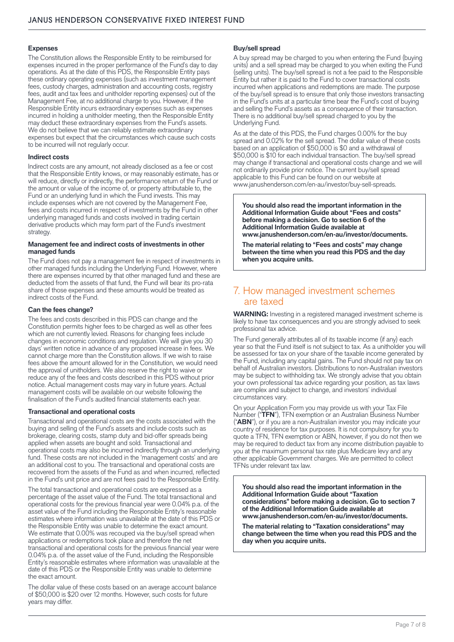#### **Expenses**

The Constitution allows the Responsible Entity to be reimbursed for expenses incurred in the proper performance of the Fund's day to day operations. As at the date of this PDS, the Responsible Entity pays these ordinary operating expenses (such as investment management fees, custody charges, administration and accounting costs, registry fees, audit and tax fees and unitholder reporting expenses) out of the Management Fee, at no additional charge to you. However, if the Responsible Entity incurs extraordinary expenses such as expenses incurred in holding a unitholder meeting, then the Responsible Entity may deduct these extraordinary expenses from the Fund's assets. We do not believe that we can reliably estimate extraordinary expenses but expect that the circumstances which cause such costs to be incurred will not regularly occur.

#### **Indirect costs**

Indirect costs are any amount, not already disclosed as a fee or cost that the Responsible Entity knows, or may reasonably estimate, has or will reduce, directly or indirectly, the performance return of the Fund or the amount or value of the income of, or property attributable to, the Fund or an underlying fund in which the Fund invests. This may include expenses which are not covered by the Management Fee, fees and costs incurred in respect of investments by the Fund in other underlying managed funds and costs involved in trading certain derivative products which may form part of the Fund's investment strategy.

#### **Management fee and indirect costs of investments in other managed funds**

The Fund does not pay a management fee in respect of investments in other managed funds including the Underlying Fund. However, where there are expenses incurred by that other managed fund and these are deducted from the assets of that fund, the Fund will bear its pro-rata share of those expenses and these amounts would be treated as indirect costs of the Fund.

#### **Can the fees change?**

The fees and costs described in this PDS can change and the Constitution permits higher fees to be charged as well as other fees which are not currently levied. Reasons for changing fees include changes in economic conditions and regulation. We will give you 30 days' written notice in advance of any proposed increase in fees. We cannot charge more than the Constitution allows. If we wish to raise fees above the amount allowed for in the Constitution, we would need the approval of unitholders. We also reserve the right to waive or reduce any of the fees and costs described in this PDS without prior notice. Actual management costs may vary in future years. Actual management costs will be available on our website following the finalisation of the Fund's audited financial statements each year.

#### **Transactional and operational costs**

Transactional and operational costs are the costs associated with the buying and selling of the Fund's assets and include costs such as brokerage, clearing costs, stamp duty and bid-offer spreads being applied when assets are bought and sold. Transactional and operational costs may also be incurred indirectly through an underlying fund. These costs are not included in the 'management costs' and are an additional cost to you. The transactional and operational costs are recovered from the assets of the Fund as and when incurred, reflected in the Fund's unit price and are not fees paid to the Responsible Entity.

The total transactional and operational costs are expressed as a percentage of the asset value of the Fund. The total transactional and operational costs for the previous financial year were 0.04% p.a. of the asset value of the Fund including the Responsible Entity's reasonable estimates where information was unavailable at the date of this PDS or the Responsible Entity was unable to determine the exact amount. We estimate that 0.00% was recouped via the buy/sell spread when applications or redemptions took place and therefore the net transactional and operational costs for the previous financial year were 0.04% p.a. of the asset value of the Fund, including the Responsible Entity's reasonable estimates where information was unavailable at the date of this PDS or the Responsible Entity was unable to determine the exact amount.

The dollar value of these costs based on an average account balance of \$50,000 is \$20 over 12 months. However, such costs for future years may differ.

#### **Buy/sell spread**

A buy spread may be charged to you when entering the Fund (buying units) and a sell spread may be charged to you when exiting the Fund (selling units). The buy/sell spread is not a fee paid to the Responsible Entity but rather it is paid to the Fund to cover transactional costs incurred when applications and redemptions are made. The purpose of the buy/sell spread is to ensure that only those investors transacting in the Fund's units at a particular time bear the Fund's cost of buying and selling the Fund's assets as a consequence of their transaction. There is no additional buy/sell spread charged to you by the Underlying Fund.

As at the date of this PDS, the Fund charges 0.00% for the buy spread and 0.02% for the sell spread. The dollar value of these costs based on an application of \$50,000 is \$0 and a withdrawal of \$50,000 is \$10 for each individual transaction. The buy/sell spread may change if transactional and operational costs change and we will not ordinarily provide prior notice. The current buy/sell spread applicable to this Fund can be found on our website at [www.janushenderson.com/en-au/investor/buy-sell-spreads.](http://www.janushenderson.com/en-au/investor/buy-sell-spreads)

**You should also read the important information in the Additional Information Guide about "Fees and costs" before making a decision. Go to section 6 of the Additional Information Guide available at [www.janushenderson.com/en-au/investor/documents](http://www.janushenderson.com/en-au/investor/documents).**

**The material relating to "Fees and costs" may change between the time when you read this PDS and the day when you acquire units.**

# 7. How managed investment schemes are taxed

**WARNING:** Investing in a registered managed investment scheme is likely to have tax consequences and you are strongly advised to seek professional tax advice.

The Fund generally attributes all of its taxable income (if any) each year so that the Fund itself is not subject to tax. As a unitholder you will be assessed for tax on your share of the taxable income generated by the Fund, including any capital gains. The Fund should not pay tax on behalf of Australian investors. Distributions to non-Australian investors may be subject to withholding tax. We strongly advise that you obtain your own professional tax advice regarding your position, as tax laws are complex and subject to change, and investors' individual circumstances vary.

On your Application Form you may provide us with your Tax File Number ("**TFN**"), TFN exemption or an Australian Business Number ("**ABN**"), or if you are a non-Australian investor you may indicate your country of residence for tax purposes. It is not compulsory for you to quote a TFN, TFN exemption or ABN, however, if you do not then we may be required to deduct tax from any income distribution payable to you at the maximum personal tax rate plus Medicare levy and any other applicable Government charges. We are permitted to collect TFNs under relevant tax law.

**You should also read the important information in the Additional Information Guide about "Taxation considerations" before making a decision. Go to section 7 of the Additional Information Guide available at [www.janushenderson.com/en-au/investor/documents](http://www.janushenderson.com/en-au/investor/documents).**

**The material relating to "Taxation considerations" may change between the time when you read this PDS and the day when you acquire units.**